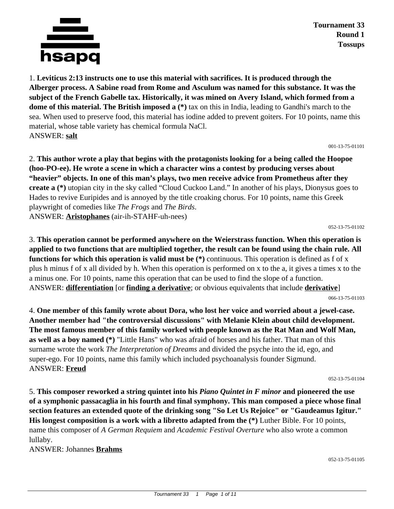

**Tournament 33 Round 1 Tossups**

1. **Leviticus 2:13 instructs one to use this material with sacrifices. It is produced through the Alberger process. A Sabine road from Rome and Asculum was named for this substance. It was the subject of the French Gabelle tax. Historically, it was mined on Avery Island, which formed from a dome of this material. The British imposed a** (\*) tax on this in India, leading to Gandhi's march to the sea. When used to preserve food, this material has iodine added to prevent goiters. For 10 points, name this material, whose table variety has chemical formula NaCl. ANSWER: **salt**

001-13-75-01101

2. **This author wrote a play that begins with the protagonists looking for a being called the Hoopoe (hoo-PO-ee). He wrote a scene in which a character wins a contest by producing verses about "heavier" objects. In one of this man's plays, two men receive advice from Prometheus after they create a (\*)** utopian city in the sky called "Cloud Cuckoo Land." In another of his plays, Dionysus goes to Hades to revive Euripides and is annoyed by the title croaking chorus. For 10 points, name this Greek playwright of comedies like *The Frogs* and *The Birds*. ANSWER: **Aristophanes** (air-ih-STAHF-uh-nees)

052-13-75-01102

3. **This operation cannot be performed anywhere on the Weierstrass function. When this operation is applied to two functions that are multiplied together, the result can be found using the chain rule. All functions for which this operation is valid must be** (\*) continuous. This operation is defined as f of x plus h minus f of x all divided by h. When this operation is performed on x to the a, it gives a times x to the a minus one. For 10 points, name this operation that can be used to find the slope of a function. ANSWER: **differentiation** [or **finding a derivative**; or obvious equivalents that include **derivative**]

066-13-75-01103

4. **One member of this family wrote about Dora, who lost her voice and worried about a jewel-case. Another member had "the controversial discussions" with Melanie Klein about child development. The most famous member of this family worked with people known as the Rat Man and Wolf Man, as well as a boy named (\*)** "Little Hans" who was afraid of horses and his father. That man of this surname wrote the work *The Interpretation of Dreams* and divided the psyche into the id, ego, and super-ego. For 10 points, name this family which included psychoanalysis founder Sigmund. ANSWER: **Freud**

052-13-75-01104

5. **This composer reworked a string quintet into his** *Piano Quintet in F minor* **and pioneered the use of a symphonic passacaglia in his fourth and final symphony. This man composed a piece whose final section features an extended quote of the drinking song "So Let Us Rejoice" or "Gaudeamus Igitur." His longest composition is a work with a libretto adapted from the (\*)** Luther Bible. For 10 points, name this composer of *A German Requiem* and *Academic Festival Overture* who also wrote a common lullaby.

ANSWER: Johannes **Brahms**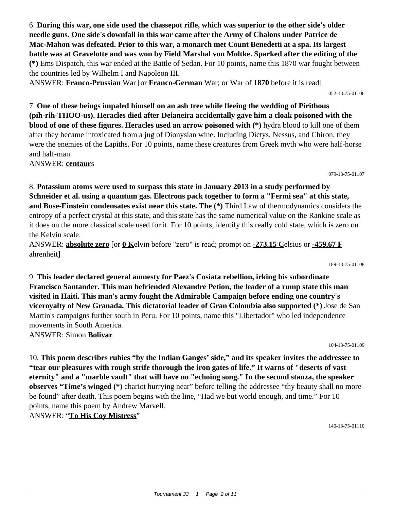6. **During this war, one side used the chassepot rifle, which was superior to the other side's older needle guns. One side's downfall in this war came after the Army of Chalons under Patrice de Mac-Mahon was defeated. Prior to this war, a monarch met Count Benedetti at a spa. Its largest battle was at Gravelotte and was won by Field Marshal von Moltke. Sparked after the editing of the (\*)** Ems Dispatch, this war ended at the Battle of Sedan. For 10 points, name this 1870 war fought between the countries led by Wilhelm I and Napoleon III.

ANSWER: **Franco-Prussian** War [or **Franco-German** War; or War of **1870** before it is read]

7. **One of these beings impaled himself on an ash tree while fleeing the wedding of Pirithous (pih-rih-THOO-us). Heracles died after Deianeira accidentally gave him a cloak poisoned with the blood of one of these figures. Heracles used an arrow poisoned with (\*)** hydra blood to kill one of them after they became intoxicated from a jug of Dionysian wine. Including Dictys, Nessus, and Chiron, they were the enemies of the Lapiths. For 10 points, name these creatures from Greek myth who were half-horse and half-man.

ANSWER: **centaur**s

8. **Potassium atoms were used to surpass this state in January 2013 in a study performed by Schneider et al. using a quantum gas. Electrons pack together to form a "Fermi sea" at this state, and Bose-Einstein condensates exist near this state. The (\*)** Third Law of thermodynamics considers the entropy of a perfect crystal at this state, and this state has the same numerical value on the Rankine scale as it does on the more classical scale used for it. For 10 points, identify this really cold state, which is zero on the Kelvin scale.

ANSWER: **absolute zero** [or **0 K**elvin before "zero" is read; prompt on **-273.15 C**elsius or **-459.67 F** ahrenheit]

189-13-75-01108

052-13-75-01106

079-13-75-01107

9. **This leader declared general amnesty for Paez's Cosiata rebellion, irking his subordinate Francisco Santander. This man befriended Alexandre Petion, the leader of a rump state this man visited in Haiti. This man's army fought the Admirable Campaign before ending one country's viceroyalty of New Granada. This dictatorial leader of Gran Colombia also supported (\*)** Jose de San Martin's campaigns further south in Peru. For 10 points, name this "Libertador" who led independence movements in South America. ANSWER: Simon **Bolivar**

104-13-75-01109

10. **This poem describes rubies "by the Indian Ganges' side," and its speaker invites the addressee to "tear our pleasures with rough strife thorough the iron gates of life." It warns of "deserts of vast eternity" and a "marble vault" that will have no "echoing song." In the second stanza, the speaker observes "Time's winged** (\*) chariot hurrying near" before telling the addressee "thy beauty shall no more be found" after death. This poem begins with the line, "Had we but world enough, and time." For 10 points, name this poem by Andrew Marvell. ANSWER: "**To His Coy Mistress**"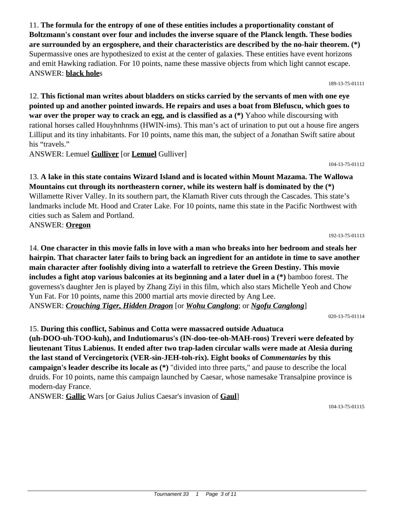11. **The formula for the entropy of one of these entities includes a proportionality constant of Boltzmann's constant over four and includes the inverse square of the Planck length. These bodies are surrounded by an ergosphere, and their characteristics are described by the no-hair theorem. (\*)** Supermassive ones are hypothesized to exist at the center of galaxies. These entities have event horizons and emit Hawking radiation. For 10 points, name these massive objects from which light cannot escape. ANSWER: **black hole**s

189-13-75-01111

12. **This fictional man writes about bladders on sticks carried by the servants of men with one eye pointed up and another pointed inwards. He repairs and uses a boat from Blefuscu, which goes to war over the proper way to crack an egg, and is classified as a (\*)** Yahoo while discoursing with rational horses called Houyhnhnms (HWIN-ims). This man's act of urination to put out a house fire angers Lilliput and its tiny inhabitants. For 10 points, name this man, the subject of a Jonathan Swift satire about his "travels."

ANSWER: Lemuel **Gulliver** [or **Lemuel** Gulliver]

104-13-75-01112

### 13. **A lake in this state contains Wizard Island and is located within Mount Mazama. The Wallowa Mountains cut through its northeastern corner, while its western half is dominated by the (\*)** Willamette River Valley. In its southern part, the Klamath River cuts through the Cascades. This state's landmarks include Mt. Hood and Crater Lake. For 10 points, name this state in the Pacific Northwest with cities such as Salem and Portland. ANSWER: **Oregon**

192-13-75-01113

14. **One character in this movie falls in love with a man who breaks into her bedroom and steals her hairpin. That character later fails to bring back an ingredient for an antidote in time to save another main character after foolishly diving into a waterfall to retrieve the Green Destiny. This movie includes a fight atop various balconies at its beginning and a later duel in a (\*)** bamboo forest. The governess's daughter Jen is played by Zhang Ziyi in this film, which also stars Michelle Yeoh and Chow Yun Fat. For 10 points, name this 2000 martial arts movie directed by Ang Lee. ANSWER: *Crouching Tiger, Hidden Dragon* [or *Wohu Canglong*; or *Ngofu Canglong*]

020-13-75-01114

15. **During this conflict, Sabinus and Cotta were massacred outside Aduatuca (uh-DOO-uh-TOO-kuh), and Indutiomarus's (IN-doo-tee-oh-MAH-roos) Treveri were defeated by lieutenant Titus Labienus. It ended after two trap-laden circular walls were made at Alesia during the last stand of Vercingetorix (VER-sin-JEH-toh-rix). Eight books of** *Commentaries* **by this campaign's leader describe its locale as (\*)** "divided into three parts," and pause to describe the local druids. For 10 points, name this campaign launched by Caesar, whose namesake Transalpine province is modern-day France.

ANSWER: **Gallic** Wars [or Gaius Julius Caesar's invasion of **Gaul**]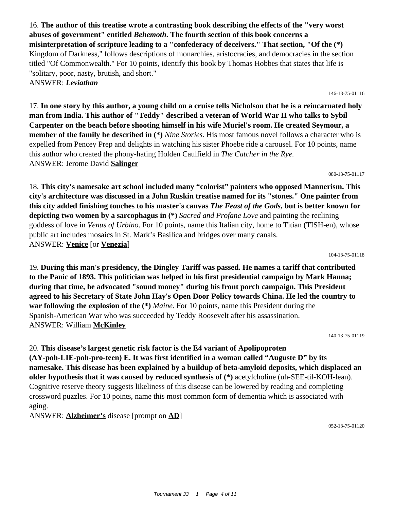16. **The author of this treatise wrote a contrasting book describing the effects of the "very worst abuses of government" entitled** *Behemoth***. The fourth section of this book concerns a misinterpretation of scripture leading to a "confederacy of deceivers." That section, "Of the (\*)** Kingdom of Darkness," follows descriptions of monarchies, aristocracies, and democracies in the section titled "Of Commonwealth." For 10 points, identify this book by Thomas Hobbes that states that life is "solitary, poor, nasty, brutish, and short." ANSWER: *Leviathan*

17. **In one story by this author, a young child on a cruise tells Nicholson that he is a reincarnated holy man from India. This author of "Teddy" described a veteran of World War II who talks to Sybil Carpenter on the beach before shooting himself in his wife Muriel's room. He created Seymour, a member of the family he described in (\*)** *Nine Stories.* His most famous novel follows a character who is expelled from Pencey Prep and delights in watching his sister Phoebe ride a carousel. For 10 points, name this author who created the phony-hating Holden Caulfield in *The Catcher in the Rye.* ANSWER: Jerome David **Salinger**

18. **This city's namesake art school included many "colorist" painters who opposed Mannerism. This city's architecture was discussed in a John Ruskin treatise named for its "stones." One painter from this city added finishing touches to his master's canvas** *The Feast of the Gods***, but is better known for depicting two women by a sarcophagus in (\*)** *Sacred and Profane Love* and painting the reclining goddess of love in *Venus of Urbino*. For 10 points, name this Italian city, home to Titian (TISH-en), whose public art includes mosaics in St. Mark's Basilica and bridges over many canals. ANSWER: **Venice** [or **Venezia**]

19. **During this man's presidency, the Dingley Tariff was passed. He names a tariff that contributed to the Panic of 1893. This politician was helped in his first presidential campaign by Mark Hanna; during that time, he advocated "sound money" during his front porch campaign. This President agreed to his Secretary of State John Hay's Open Door Policy towards China. He led the country to war following the explosion of the (\*)** *Maine*. For 10 points, name this President during the Spanish-American War who was succeeded by Teddy Roosevelt after his assassination. ANSWER: William **McKinley**

20. **This disease's largest genetic risk factor is the E4 variant of Apolipoproten (AY-poh-LIE-poh-pro-teen) E. It was first identified in a woman called "Auguste D" by its namesake. This disease has been explained by a buildup of beta-amyloid deposits, which displaced an older hypothesis that it was caused by reduced synthesis of (\*)** acetylcholine (uh-SEE-til-KOH-lean). Cognitive reserve theory suggests likeliness of this disease can be lowered by reading and completing crossword puzzles. For 10 points, name this most common form of dementia which is associated with aging.

ANSWER: **Alzheimer's** disease [prompt on **AD**]

052-13-75-01120

# 080-13-75-01117

104-13-75-01118

140-13-75-01119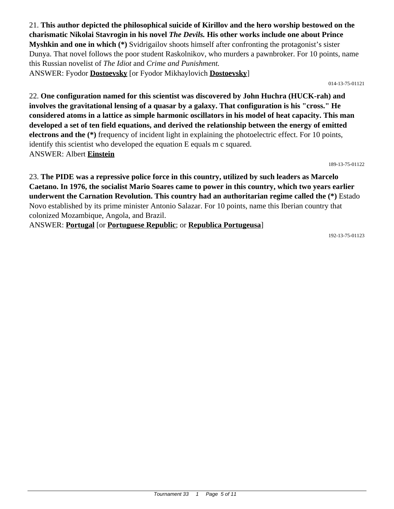21. **This author depicted the philosophical suicide of Kirillov and the hero worship bestowed on the charismatic Nikolai Stavrogin in his novel** *The Devils.* **His other works include one about Prince Myshkin and one in which (\*)** Svidrigailov shoots himself after confronting the protagonist's sister Dunya. That novel follows the poor student Raskolnikov, who murders a pawnbroker. For 10 points, name this Russian novelist of *The Idiot* and *Crime and Punishment.* ANSWER: Fyodor **Dostoevsky** [or Fyodor Mikhaylovich **Dostoevsky**]

014-13-75-01121

22. **One configuration named for this scientist was discovered by John Huchra (HUCK-rah) and involves the gravitational lensing of a quasar by a galaxy. That configuration is his "cross." He considered atoms in a lattice as simple harmonic oscillators in his model of heat capacity. This man developed a set of ten field equations, and derived the relationship between the energy of emitted electrons and the (\*)** frequency of incident light in explaining the photoelectric effect. For 10 points, identify this scientist who developed the equation E equals m c squared. ANSWER: Albert **Einstein**

189-13-75-01122

23. **The PIDE was a repressive police force in this country, utilized by such leaders as Marcelo Caetano. In 1976, the socialist Mario Soares came to power in this country, which two years earlier underwent the Carnation Revolution. This country had an authoritarian regime called the (\*)** Estado Novo established by its prime minister Antonio Salazar. For 10 points, name this Iberian country that colonized Mozambique, Angola, and Brazil.

ANSWER: **Portugal** [or **Portuguese Republic**; or **Republica Portugeusa**]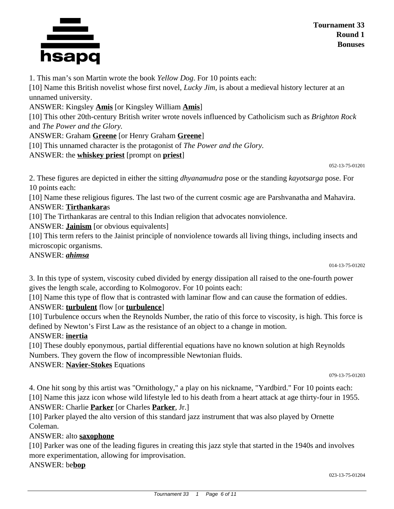



1. This man's son Martin wrote the book *Yellow Dog*. For 10 points each:

[10] Name this British novelist whose first novel, *Lucky Jim*, is about a medieval history lecturer at an unnamed university.

ANSWER: Kingsley **Amis** [or Kingsley William **Amis**]

[10] This other 20th-century British writer wrote novels influenced by Catholicism such as *Brighton Rock* and *The Power and the Glory.*

ANSWER: Graham **Greene** [or Henry Graham **Greene**]

[10] This unnamed character is the protagonist of *The Power and the Glory.*

ANSWER: the **whiskey priest** [prompt on **priest**]

052-13-75-01201

2. These figures are depicted in either the sitting *dhyanamudra* pose or the standing *kayotsarga* pose. For 10 points each:

[10] Name these religious figures. The last two of the current cosmic age are Parshvanatha and Mahavira. ANSWER: **Tirthankara**s

[10] The Tirthankaras are central to this Indian religion that advocates nonviolence.

ANSWER: **Jainism** [or obvious equivalents]

[10] This term refers to the Jainist principle of nonviolence towards all living things, including insects and microscopic organisms.

#### ANSWER: *ahimsa*

014-13-75-01202

3. In this type of system, viscosity cubed divided by energy dissipation all raised to the one-fourth power gives the length scale, according to Kolmogorov. For 10 points each:

[10] Name this type of flow that is contrasted with laminar flow and can cause the formation of eddies.

## ANSWER: **turbulent** flow [or **turbulence**]

[10] Turbulence occurs when the Reynolds Number, the ratio of this force to viscosity, is high. This force is defined by Newton's First Law as the resistance of an object to a change in motion.

## ANSWER: **inertia**

[10] These doubly eponymous, partial differential equations have no known solution at high Reynolds Numbers. They govern the flow of incompressible Newtonian fluids.

ANSWER: **Navier-Stokes** Equations

079-13-75-01203

4. One hit song by this artist was "Ornithology," a play on his nickname, "Yardbird." For 10 points each: [10] Name this jazz icon whose wild lifestyle led to his death from a heart attack at age thirty-four in 1955. ANSWER: Charlie **Parker** [or Charles **Parker**, Jr.]

[10] Parker played the alto version of this standard jazz instrument that was also played by Ornette Coleman.

## ANSWER: alto **saxophone**

[10] Parker was one of the leading figures in creating this jazz style that started in the 1940s and involves more experimentation, allowing for improvisation.

ANSWER: be**bop**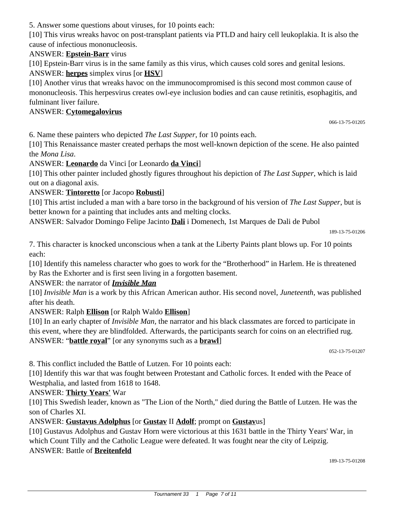5. Answer some questions about viruses, for 10 points each:

[10] This virus wreaks havoc on post-transplant patients via PTLD and hairy cell leukoplakia. It is also the cause of infectious mononucleosis.

## ANSWER: **Epstein-Barr** virus

[10] Epstein-Barr virus is in the same family as this virus, which causes cold sores and genital lesions. ANSWER: **herpes** simplex virus [or **HSV**]

[10] Another virus that wreaks havoc on the immunocompromised is this second most common cause of mononucleosis. This herpesvirus creates owl-eye inclusion bodies and can cause retinitis, esophagitis, and fulminant liver failure.

#### ANSWER: **Cytomegalovirus**

066-13-75-01205

6. Name these painters who depicted *The Last Supper*, for 10 points each.

[10] This Renaissance master created perhaps the most well-known depiction of the scene. He also painted the *Mona Lisa*.

ANSWER: **Leonardo** da Vinci [or Leonardo **da Vinci**]

[10] This other painter included ghostly figures throughout his depiction of *The Last Supper*, which is laid out on a diagonal axis.

## ANSWER: **Tintoretto** [or Jacopo **Robusti**]

[10] This artist included a man with a bare torso in the background of his version of *The Last Supper*, but is better known for a painting that includes ants and melting clocks.

ANSWER: Salvador Domingo Felipe Jacinto **Dali** i Domenech, 1st Marques de Dali de Pubol

189-13-75-01206

7. This character is knocked unconscious when a tank at the Liberty Paints plant blows up. For 10 points each:

[10] Identify this nameless character who goes to work for the "Brotherhood" in Harlem. He is threatened by Ras the Exhorter and is first seen living in a forgotten basement.

## ANSWER: the narrator of *Invisible Man*

[10] *Invisible Man* is a work by this African American author. His second novel, *Juneteenth,* was published after his death.

## ANSWER: Ralph **Ellison** [or Ralph Waldo **Ellison**]

[10] In an early chapter of *Invisible Man*, the narrator and his black classmates are forced to participate in this event, where they are blindfolded. Afterwards, the participants search for coins on an electrified rug. ANSWER: "**battle royal**" [or any synonyms such as a **brawl**]

052-13-75-01207

8. This conflict included the Battle of Lutzen. For 10 points each:

[10] Identify this war that was fought between Protestant and Catholic forces. It ended with the Peace of Westphalia, and lasted from 1618 to 1648.

## ANSWER: **Thirty Years'** War

[10] This Swedish leader, known as "The Lion of the North," died during the Battle of Lutzen. He was the son of Charles XI.

## ANSWER: **Gustavus Adolphus** [or **Gustav** II **Adolf**; prompt on **Gustav**us]

[10] Gustavus Adolphus and Gustav Horn were victorious at this 1631 battle in the Thirty Years' War, in which Count Tilly and the Catholic League were defeated. It was fought near the city of Leipzig. ANSWER: Battle of **Breitenfeld**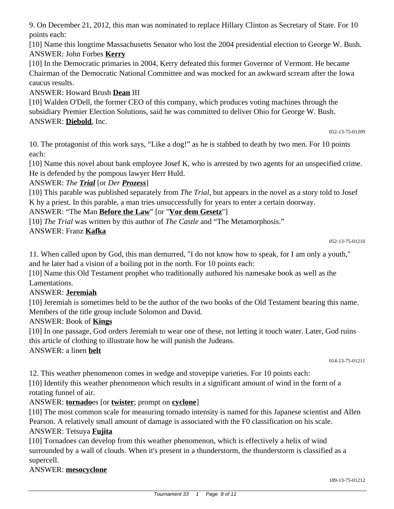9. On December 21, 2012, this man was nominated to replace Hillary Clinton as Secretary of State. For 10 points each:

[10] Name this longtime Massachusetts Senator who lost the 2004 presidential election to George W. Bush. ANSWER: John Forbes **Kerry**

[10] In the Democratic primaries in 2004, Kerry defeated this former Governor of Vermont. He became Chairman of the Democratic National Committee and was mocked for an awkward scream after the Iowa caucus results.

ANSWER: Howard Brush **Dean** III

[10] Walden O'Dell, the former CEO of this company, which produces voting machines through the subsidiary Premier Election Solutions, said he was committed to deliver Ohio for George W. Bush. ANSWER: **Diebold**, Inc.

10. The protagonist of this work says, "Like a dog!" as he is stabbed to death by two men. For 10 points

each: [10] Name this novel about bank employee Josef K, who is arrested by two agents for an unspecified crime. He is defended by the pompous lawyer Herr Huld.

## ANSWER: *The Trial* [or *Der Prozess*]

[10] This parable was published separately from *The Trial*, but appears in the novel as a story told to Josef K by a priest. In this parable, a man tries unsuccessfully for years to enter a certain doorway.

### ANSWER: "The Man **Before the Law**" [or "**Vor dem Gesetz**"]

[10] *The Trial* was written by this author of *The Castle* and "The Metamorphosis."

## ANSWER: Franz **Kafka**

#### 052-13-75-01210

052-13-75-01209

11. When called upon by God, this man demurred, "I do not know how to speak, for I am only a youth," and he later had a vision of a boiling pot in the north. For 10 points each:

[10] Name this Old Testament prophet who traditionally authored his namesake book as well as the Lamentations.

## ANSWER: **Jeremiah**

[10] Jeremiah is sometimes held to be the author of the two books of the Old Testament bearing this name. Members of the title group include Solomon and David.

## ANSWER: Book of **Kings**

[10] In one passage, God orders Jeremiah to wear one of these, not letting it touch water. Later, God ruins this article of clothing to illustrate how he will punish the Judeans.

ANSWER: a linen **belt**

014-13-75-01211

12. This weather phenomenon comes in wedge and stovepipe varieties. For 10 points each:

[10] Identify this weather phenomenon which results in a significant amount of wind in the form of a rotating funnel of air.

## ANSWER: **tornado**es [or **twister**; prompt on **cyclone**]

[10] The most common scale for measuring tornado intensity is named for this Japanese scientist and Allen Pearson. A relatively small amount of damage is associated with the F0 classification on his scale.

## ANSWER: Tetsuya **Fujita**

[10] Tornadoes can develop from this weather phenomenon, which is effectively a helix of wind surrounded by a wall of clouds. When it's present in a thunderstorm, the thunderstorm is classified as a supercell.

## ANSWER: **mesocyclone**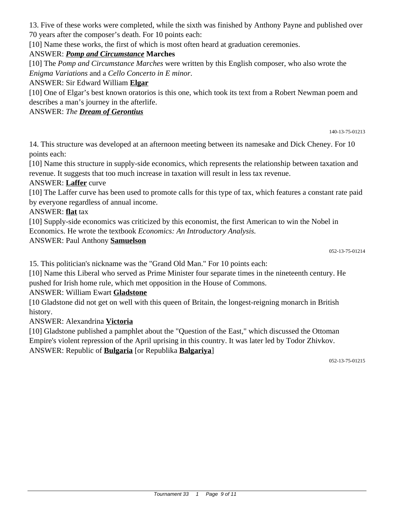13. Five of these works were completed, while the sixth was finished by Anthony Payne and published over 70 years after the composer's death. For 10 points each:

[10] Name these works, the first of which is most often heard at graduation ceremonies.

## ANSWER: *Pomp and Circumstance* **Marches**

[10] The *Pomp and Circumstance Marches* were written by this English composer, who also wrote the *Enigma Variations* and a *Cello Concerto in E minor*.

#### ANSWER: Sir Edward William **Elgar**

[10] One of Elgar's best known oratorios is this one, which took its text from a Robert Newman poem and describes a man's journey in the afterlife.

#### ANSWER: *The Dream of Gerontius*

140-13-75-01213

14. This structure was developed at an afternoon meeting between its namesake and Dick Cheney. For 10 points each:

[10] Name this structure in supply-side economics, which represents the relationship between taxation and revenue. It suggests that too much increase in taxation will result in less tax revenue.

### ANSWER: **Laffer** curve

[10] The Laffer curve has been used to promote calls for this type of tax, which features a constant rate paid by everyone regardless of annual income.

ANSWER: **flat** tax

[10] Supply-side economics was criticized by this economist, the first American to win the Nobel in Economics. He wrote the textbook *Economics: An Introductory Analysis.*

ANSWER: Paul Anthony **Samuelson**

15. This politician's nickname was the "Grand Old Man." For 10 points each:

[10] Name this Liberal who served as Prime Minister four separate times in the nineteenth century. He pushed for Irish home rule, which met opposition in the House of Commons.

## ANSWER: William Ewart **Gladstone**

[10 Gladstone did not get on well with this queen of Britain, the longest-reigning monarch in British history.

ANSWER: Alexandrina **Victoria**

[10] Gladstone published a pamphlet about the "Question of the East," which discussed the Ottoman Empire's violent repression of the April uprising in this country. It was later led by Todor Zhivkov. ANSWER: Republic of **Bulgaria** [or Republika **Balgariya**]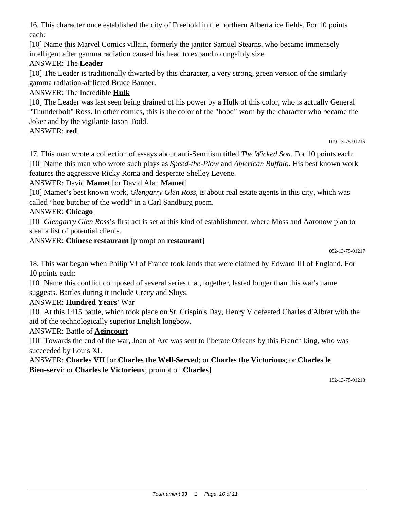16. This character once established the city of Freehold in the northern Alberta ice fields. For 10 points each:

[10] Name this Marvel Comics villain, formerly the janitor Samuel Stearns, who became immensely intelligent after gamma radiation caused his head to expand to ungainly size.

## ANSWER: The **Leader**

[10] The Leader is traditionally thwarted by this character, a very strong, green version of the similarly gamma radiation-afflicted Bruce Banner.

## ANSWER: The Incredible **Hulk**

[10] The Leader was last seen being drained of his power by a Hulk of this color, who is actually General "Thunderbolt" Ross. In other comics, this is the color of the "hood" worn by the character who became the Joker and by the vigilante Jason Todd.

## ANSWER: **red**

019-13-75-01216

17. This man wrote a collection of essays about anti-Semitism titled *The Wicked Son.* For 10 points each: [10] Name this man who wrote such plays as *Speed-the-Plow* and *American Buffalo.* His best known work features the aggressive Ricky Roma and desperate Shelley Levene.

## ANSWER: David **Mamet** [or David Alan **Mamet**]

[10] Mamet's best known work, *Glengarry Glen Ross,* is about real estate agents in this city, which was called "hog butcher of the world" in a Carl Sandburg poem.

## ANSWER: **Chicago**

[10] *Glengarry Glen Ross*'s first act is set at this kind of establishment, where Moss and Aaronow plan to steal a list of potential clients.

## ANSWER: **Chinese restaurant** [prompt on **restaurant**]

18. This war began when Philip VI of France took lands that were claimed by Edward III of England. For 10 points each:

[10] Name this conflict composed of several series that, together, lasted longer than this war's name suggests. Battles during it include Crecy and Sluys.

## ANSWER: **Hundred Years'** War

[10] At this 1415 battle, which took place on St. Crispin's Day, Henry V defeated Charles d'Albret with the aid of the technologically superior English longbow.

## ANSWER: Battle of **Agincourt**

[10] Towards the end of the war, Joan of Arc was sent to liberate Orleans by this French king, who was succeeded by Louis XI.

## ANSWER: **Charles VII** [or **Charles the Well-Served**; or **Charles the Victorious**; or **Charles le Bien-servi**; or **Charles le Victorieux**; prompt on **Charles**]